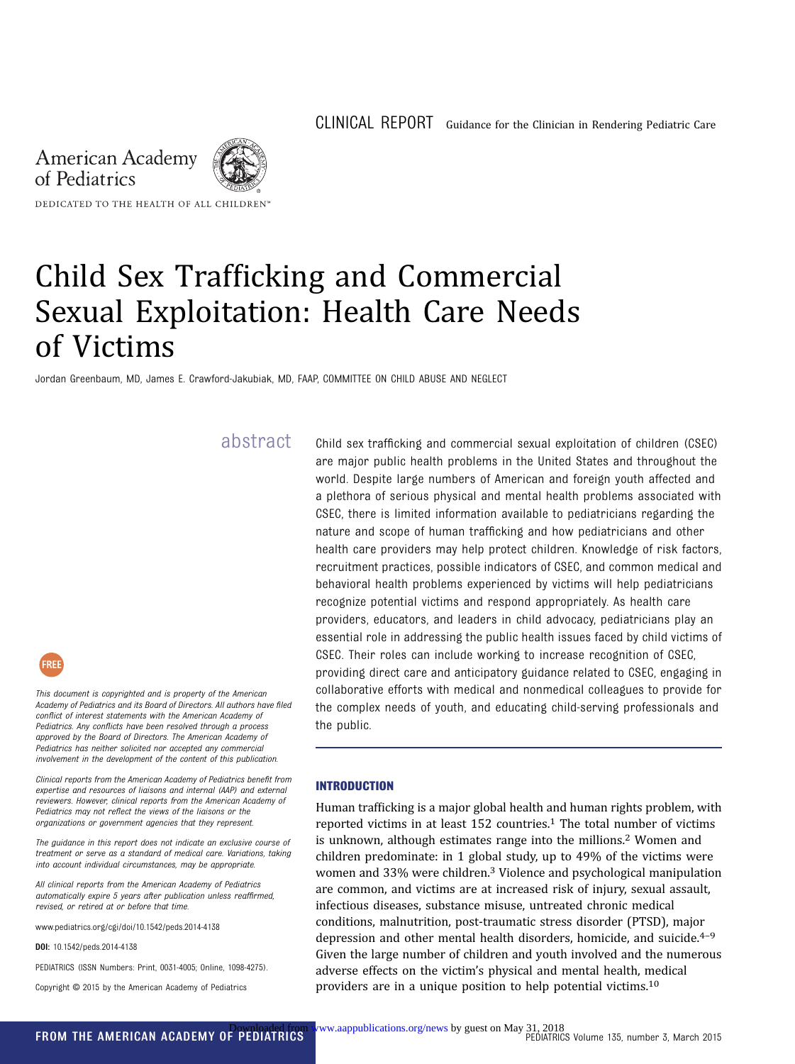



DEDICATED TO THE HEALTH OF ALL CHILDREN<sup>®</sup>

## Child Sex Trafficking and Commercial Sexual Exploitation: Health Care Needs of Victims

Jordan Greenbaum, MD, James E. Crawford-Jakubiak, MD, FAAP, COMMITTEE ON CHILD ABUSE AND NEGLECT

 $abstract$  Child sex trafficking and commercial sexual exploitation of children (CSEC) are major public health problems in the United States and throughout the world. Despite large numbers of American and foreign youth affected and a plethora of serious physical and mental health problems associated with CSEC, there is limited information available to pediatricians regarding the nature and scope of human trafficking and how pediatricians and other health care providers may help protect children. Knowledge of risk factors, recruitment practices, possible indicators of CSEC, and common medical and behavioral health problems experienced by victims will help pediatricians recognize potential victims and respond appropriately. As health care providers, educators, and leaders in child advocacy, pediatricians play an essential role in addressing the public health issues faced by child victims of CSEC. Their roles can include working to increase recognition of CSEC, providing direct care and anticipatory guidance related to CSEC, engaging in collaborative efforts with medical and nonmedical colleagues to provide for the complex needs of youth, and educating child-serving professionals and the public.

#### INTRODUCTION

Human trafficking is a major global health and human rights problem, with reported victims in at least 152 countries.<sup>1</sup> The total number of victims is unknown, although estimates range into the millions.<sup>2</sup> Women and children predominate: in 1 global study, up to 49% of the victims were women and 33% were children.3 Violence and psychological manipulation are common, and victims are at increased risk of injury, sexual assault, infectious diseases, substance misuse, untreated chronic medical conditions, malnutrition, post-traumatic stress disorder (PTSD), major depression and other mental health disorders, homicide, and suicide.4–<sup>9</sup> Given the large number of children and youth involved and the numerous adverse effects on the victim's physical and mental health, medical providers are in a unique position to help potential victims.10

### FREE

This document is copyrighted and is property of the American Academy of Pediatrics and its Board of Directors. All authors have filed conflict of interest statements with the American Academy of Pediatrics. Any conflicts have been resolved through a process approved by the Board of Directors. The American Academy of Pediatrics has neither solicited nor accepted any commercial involvement in the development of the content of this publication.

Clinical reports from the American Academy of Pediatrics benefit from expertise and resources of liaisons and internal (AAP) and external reviewers. However, clinical reports from the American Academy of Pediatrics may not reflect the views of the liaisons or the organizations or government agencies that they represent.

The guidance in this report does not indicate an exclusive course of treatment or serve as a standard of medical care. Variations, taking into account individual circumstances, may be appropriate.

All clinical reports from the American Academy of Pediatrics automatically expire 5 years after publication unless reaffirmed, revised, or retired at or before that time.

www.pediatrics.org/cgi/doi/10.1542/peds.2014-4138

DOI: 10.1542/peds.2014-4138

PEDIATRICS (ISSN Numbers: Print, 0031-4005; Online, 1098-4275).

Copyright © 2015 by the American Academy of Pediatrics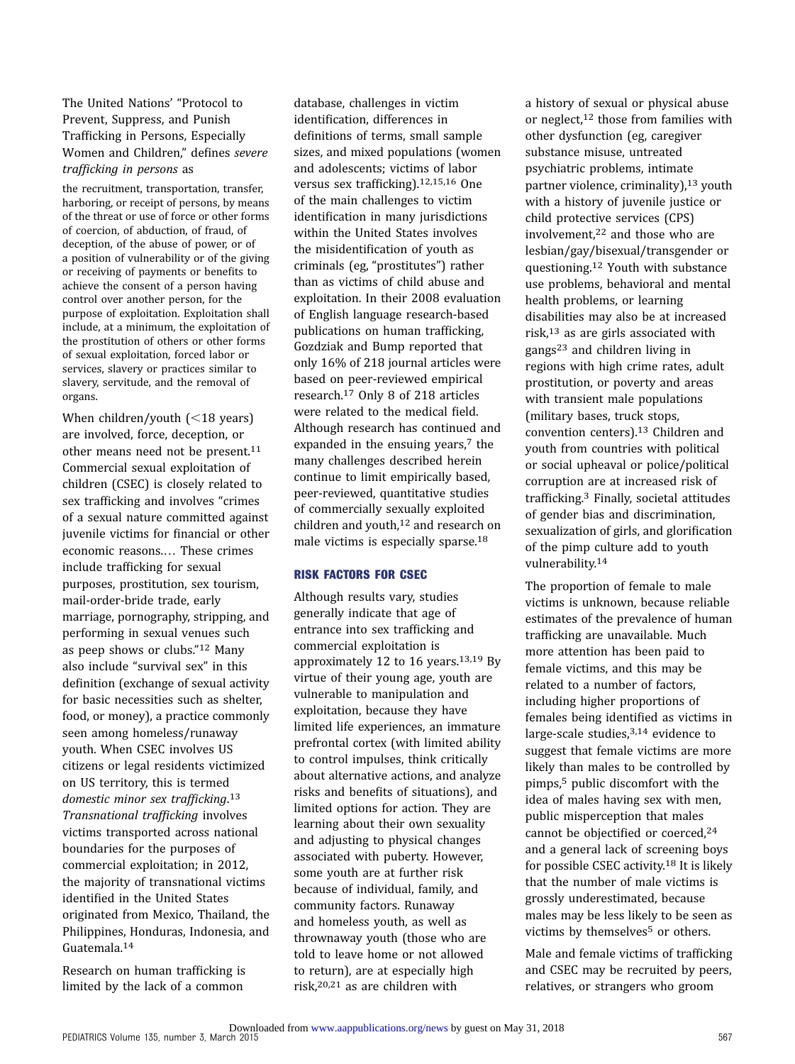The United Nations' "Protocol to Prevent, Suppress, and Punish Trafficking in Persons, Especially Women and Children," defines severe trafficking in persons as

the recruitment, transportation, transfer, harboring, or receipt of persons, by means of the threat or use of force or other forms of coercion, of abduction, of fraud, of deception, of the abuse of power, or of a position of vulnerability or of the giving or receiving of payments or benefits to achieve the consent of a person having control over another person, for the purpose of exploitation. Exploitation shall include, at a minimum, the exploitation of the prostitution of others or other forms of sexual exploitation, forced labor or services, slavery or practices similar to slavery, servitude, and the removal of organs.

When children/youth  $(<18$  years) are involved, force, deception, or other means need not be present.<sup>11</sup> Commercial sexual exploitation of children (CSEC) is closely related to sex trafficking and involves "crimes of a sexual nature committed against juvenile victims for financial or other economic reasons.… These crimes include trafficking for sexual purposes, prostitution, sex tourism, mail-order-bride trade, early marriage, pornography, stripping, and performing in sexual venues such as peep shows or clubs."12 Many also include "survival sex" in this definition (exchange of sexual activity for basic necessities such as shelter, food, or money), a practice commonly seen among homeless/runaway youth. When CSEC involves US citizens or legal residents victimized on US territory, this is termed domestic minor sex trafficking.<sup>13</sup> Transnational trafficking involves victims transported across national boundaries for the purposes of commercial exploitation; in 2012, the majority of transnational victims identified in the United States originated from Mexico, Thailand, the Philippines, Honduras, Indonesia, and Guatemala.14

Research on human trafficking is limited by the lack of a common

database, challenges in victim identification, differences in definitions of terms, small sample sizes, and mixed populations (women and adolescents; victims of labor versus sex trafficking).12,15,16 One of the main challenges to victim identification in many jurisdictions within the United States involves the misidentification of youth as criminals (eg, "prostitutes") rather than as victims of child abuse and exploitation. In their 2008 evaluation of English language research-based publications on human trafficking, Gozdziak and Bump reported that only 16% of 218 journal articles were based on peer-reviewed empirical research.17 Only 8 of 218 articles were related to the medical field. Although research has continued and expanded in the ensuing years,<sup>7</sup> the many challenges described herein continue to limit empirically based, peer-reviewed, quantitative studies of commercially sexually exploited children and youth, $12$  and research on male victims is especially sparse.18

#### RISK FACTORS FOR CSEC

Although results vary, studies generally indicate that age of entrance into sex trafficking and commercial exploitation is approximately 12 to 16 years.13,19 By virtue of their young age, youth are vulnerable to manipulation and exploitation, because they have limited life experiences, an immature prefrontal cortex (with limited ability to control impulses, think critically about alternative actions, and analyze risks and benefits of situations), and limited options for action. They are learning about their own sexuality and adjusting to physical changes associated with puberty. However, some youth are at further risk because of individual, family, and community factors. Runaway and homeless youth, as well as thrownaway youth (those who are told to leave home or not allowed to return), are at especially high risk,20,21 as are children with

a history of sexual or physical abuse or neglect,12 those from families with other dysfunction (eg, caregiver substance misuse, untreated psychiatric problems, intimate partner violence, criminality),<sup>13</sup> youth with a history of juvenile justice or child protective services (CPS) involvement,22 and those who are lesbian/gay/bisexual/transgender or questioning.12 Youth with substance use problems, behavioral and mental health problems, or learning disabilities may also be at increased risk,13 as are girls associated with gangs23 and children living in regions with high crime rates, adult prostitution, or poverty and areas with transient male populations (military bases, truck stops, convention centers).13 Children and youth from countries with political or social upheaval or police/political corruption are at increased risk of trafficking.3 Finally, societal attitudes of gender bias and discrimination, sexualization of girls, and glorification of the pimp culture add to youth vulnerability.14

The proportion of female to male victims is unknown, because reliable estimates of the prevalence of human trafficking are unavailable. Much more attention has been paid to female victims, and this may be related to a number of factors, including higher proportions of females being identified as victims in large-scale studies, $3,14$  evidence to suggest that female victims are more likely than males to be controlled by pimps,5 public discomfort with the idea of males having sex with men, public misperception that males cannot be objectified or coerced,<sup>24</sup> and a general lack of screening boys for possible CSEC activity.18 It is likely that the number of male victims is grossly underestimated, because males may be less likely to be seen as victims by themselves<sup>5</sup> or others.

Male and female victims of trafficking and CSEC may be recruited by peers, relatives, or strangers who groom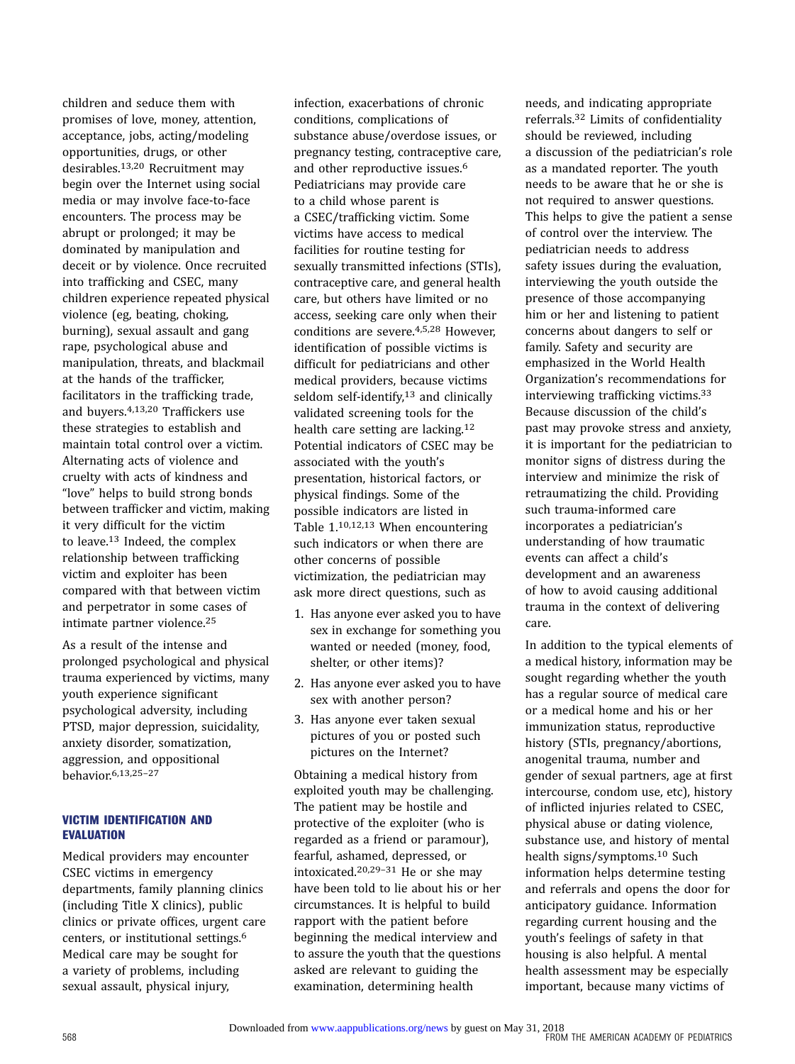children and seduce them with promises of love, money, attention, acceptance, jobs, acting/modeling opportunities, drugs, or other desirables.13,20 Recruitment may begin over the Internet using social media or may involve face-to-face encounters. The process may be abrupt or prolonged; it may be dominated by manipulation and deceit or by violence. Once recruited into trafficking and CSEC, many children experience repeated physical violence (eg, beating, choking, burning), sexual assault and gang rape, psychological abuse and manipulation, threats, and blackmail at the hands of the trafficker, facilitators in the trafficking trade, and buyers.4,13,20 Traffickers use these strategies to establish and maintain total control over a victim. Alternating acts of violence and cruelty with acts of kindness and "love" helps to build strong bonds between trafficker and victim, making it very difficult for the victim to leave.13 Indeed, the complex relationship between trafficking victim and exploiter has been compared with that between victim and perpetrator in some cases of intimate partner violence.25

As a result of the intense and prolonged psychological and physical trauma experienced by victims, many youth experience significant psychological adversity, including PTSD, major depression, suicidality, anxiety disorder, somatization, aggression, and oppositional behavior.6,13,25–<sup>27</sup>

#### VICTIM IDENTIFICATION AND EVALUATION

Medical providers may encounter CSEC victims in emergency departments, family planning clinics (including Title X clinics), public clinics or private offices, urgent care centers, or institutional settings.6 Medical care may be sought for a variety of problems, including sexual assault, physical injury,

infection, exacerbations of chronic conditions, complications of substance abuse/overdose issues, or pregnancy testing, contraceptive care, and other reproductive issues.6 Pediatricians may provide care to a child whose parent is a CSEC/trafficking victim. Some victims have access to medical facilities for routine testing for sexually transmitted infections (STIs), contraceptive care, and general health care, but others have limited or no access, seeking care only when their conditions are severe.4,5,28 However, identification of possible victims is difficult for pediatricians and other medical providers, because victims seldom self-identify, $13$  and clinically validated screening tools for the health care setting are lacking.12 Potential indicators of CSEC may be associated with the youth's presentation, historical factors, or physical findings. Some of the possible indicators are listed in Table 1.10,12,13 When encountering such indicators or when there are other concerns of possible victimization, the pediatrician may ask more direct questions, such as

- 1. Has anyone ever asked you to have sex in exchange for something you wanted or needed (money, food, shelter, or other items)?
- 2. Has anyone ever asked you to have sex with another person?
- 3. Has anyone ever taken sexual pictures of you or posted such pictures on the Internet?

Obtaining a medical history from exploited youth may be challenging. The patient may be hostile and protective of the exploiter (who is regarded as a friend or paramour), fearful, ashamed, depressed, or intoxicated.20,29–<sup>31</sup> He or she may have been told to lie about his or her circumstances. It is helpful to build rapport with the patient before beginning the medical interview and to assure the youth that the questions asked are relevant to guiding the examination, determining health

needs, and indicating appropriate referrals.<sup>32</sup> Limits of confidentiality should be reviewed, including a discussion of the pediatrician's role as a mandated reporter. The youth needs to be aware that he or she is not required to answer questions. This helps to give the patient a sense of control over the interview. The pediatrician needs to address safety issues during the evaluation, interviewing the youth outside the presence of those accompanying him or her and listening to patient concerns about dangers to self or family. Safety and security are emphasized in the World Health Organization's recommendations for interviewing trafficking victims.33 Because discussion of the child's past may provoke stress and anxiety, it is important for the pediatrician to monitor signs of distress during the interview and minimize the risk of retraumatizing the child. Providing such trauma-informed care incorporates a pediatrician's understanding of how traumatic events can affect a child's development and an awareness of how to avoid causing additional trauma in the context of delivering care.

In addition to the typical elements of a medical history, information may be sought regarding whether the youth has a regular source of medical care or a medical home and his or her immunization status, reproductive history (STIs, pregnancy/abortions, anogenital trauma, number and gender of sexual partners, age at first intercourse, condom use, etc), history of inflicted injuries related to CSEC, physical abuse or dating violence, substance use, and history of mental health signs/symptoms.10 Such information helps determine testing and referrals and opens the door for anticipatory guidance. Information regarding current housing and the youth's feelings of safety in that housing is also helpful. A mental health assessment may be especially important, because many victims of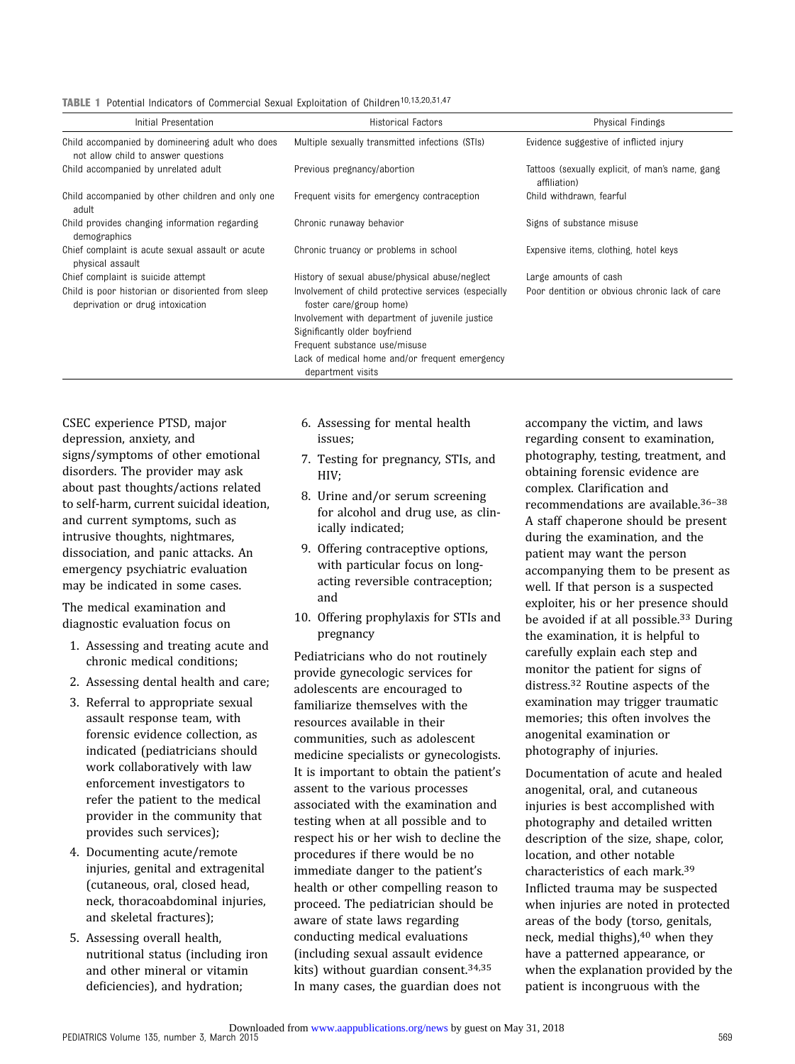|  |  |  |  | TABLE 1 Potential Indicators of Commercial Sexual Exploitation of Children <sup>10,13,20,31,47</sup> |
|--|--|--|--|------------------------------------------------------------------------------------------------------|
|--|--|--|--|------------------------------------------------------------------------------------------------------|

| Initial Presentation                                                                   | <b>Historical Factors</b>                                                       | Physical Findings                                               |
|----------------------------------------------------------------------------------------|---------------------------------------------------------------------------------|-----------------------------------------------------------------|
| Child accompanied by domineering adult who does<br>not allow child to answer questions | Multiple sexually transmitted infections (STIs)                                 | Evidence suggestive of inflicted injury                         |
| Child accompanied by unrelated adult                                                   | Previous pregnancy/abortion                                                     | Tattoos (sexually explicit, of man's name, gang<br>affiliation) |
| Child accompanied by other children and only one<br>adult                              | Frequent visits for emergency contraception                                     | Child withdrawn, fearful                                        |
| Child provides changing information regarding<br>demographics                          | Chronic runaway behavior                                                        | Signs of substance misuse                                       |
| Chief complaint is acute sexual assault or acute<br>physical assault                   | Chronic truancy or problems in school                                           | Expensive items, clothing, hotel keys                           |
| Chief complaint is suicide attempt                                                     | History of sexual abuse/physical abuse/neglect                                  | Large amounts of cash                                           |
| Child is poor historian or disoriented from sleep<br>deprivation or drug intoxication  | Involvement of child protective services (especially<br>foster care/group home) | Poor dentition or obvious chronic lack of care                  |
|                                                                                        | Involvement with department of juvenile justice                                 |                                                                 |
|                                                                                        | Significantly older boyfriend                                                   |                                                                 |
|                                                                                        | Frequent substance use/misuse                                                   |                                                                 |
|                                                                                        | Lack of medical home and/or frequent emergency                                  |                                                                 |
|                                                                                        | department visits                                                               |                                                                 |

CSEC experience PTSD, major depression, anxiety, and signs/symptoms of other emotional disorders. The provider may ask about past thoughts/actions related to self-harm, current suicidal ideation, and current symptoms, such as intrusive thoughts, nightmares, dissociation, and panic attacks. An emergency psychiatric evaluation may be indicated in some cases.

The medical examination and diagnostic evaluation focus on

- 1. Assessing and treating acute and chronic medical conditions;
- 2. Assessing dental health and care;
- 3. Referral to appropriate sexual assault response team, with forensic evidence collection, as indicated (pediatricians should work collaboratively with law enforcement investigators to refer the patient to the medical provider in the community that provides such services);
- 4. Documenting acute/remote injuries, genital and extragenital (cutaneous, oral, closed head, neck, thoracoabdominal injuries, and skeletal fractures);
- 5. Assessing overall health, nutritional status (including iron and other mineral or vitamin deficiencies), and hydration;
- 6. Assessing for mental health issues;
- 7. Testing for pregnancy, STIs, and HIV;
- 8. Urine and/or serum screening for alcohol and drug use, as clinically indicated;
- 9. Offering contraceptive options, with particular focus on longacting reversible contraception; and
- 10. Offering prophylaxis for STIs and pregnancy

Pediatricians who do not routinely provide gynecologic services for adolescents are encouraged to familiarize themselves with the resources available in their communities, such as adolescent medicine specialists or gynecologists. It is important to obtain the patient's assent to the various processes associated with the examination and testing when at all possible and to respect his or her wish to decline the procedures if there would be no immediate danger to the patient's health or other compelling reason to proceed. The pediatrician should be aware of state laws regarding conducting medical evaluations (including sexual assault evidence kits) without guardian consent.34,35 In many cases, the guardian does not accompany the victim, and laws regarding consent to examination, photography, testing, treatment, and obtaining forensic evidence are complex. Clarification and recommendations are available.36–<sup>38</sup> A staff chaperone should be present during the examination, and the patient may want the person accompanying them to be present as well. If that person is a suspected exploiter, his or her presence should be avoided if at all possible.33 During the examination, it is helpful to carefully explain each step and monitor the patient for signs of distress.32 Routine aspects of the examination may trigger traumatic memories; this often involves the anogenital examination or photography of injuries.

Documentation of acute and healed anogenital, oral, and cutaneous injuries is best accomplished with photography and detailed written description of the size, shape, color, location, and other notable characteristics of each mark.39 Inflicted trauma may be suspected when injuries are noted in protected areas of the body (torso, genitals, neck, medial thighs),<sup>40</sup> when they have a patterned appearance, or when the explanation provided by the patient is incongruous with the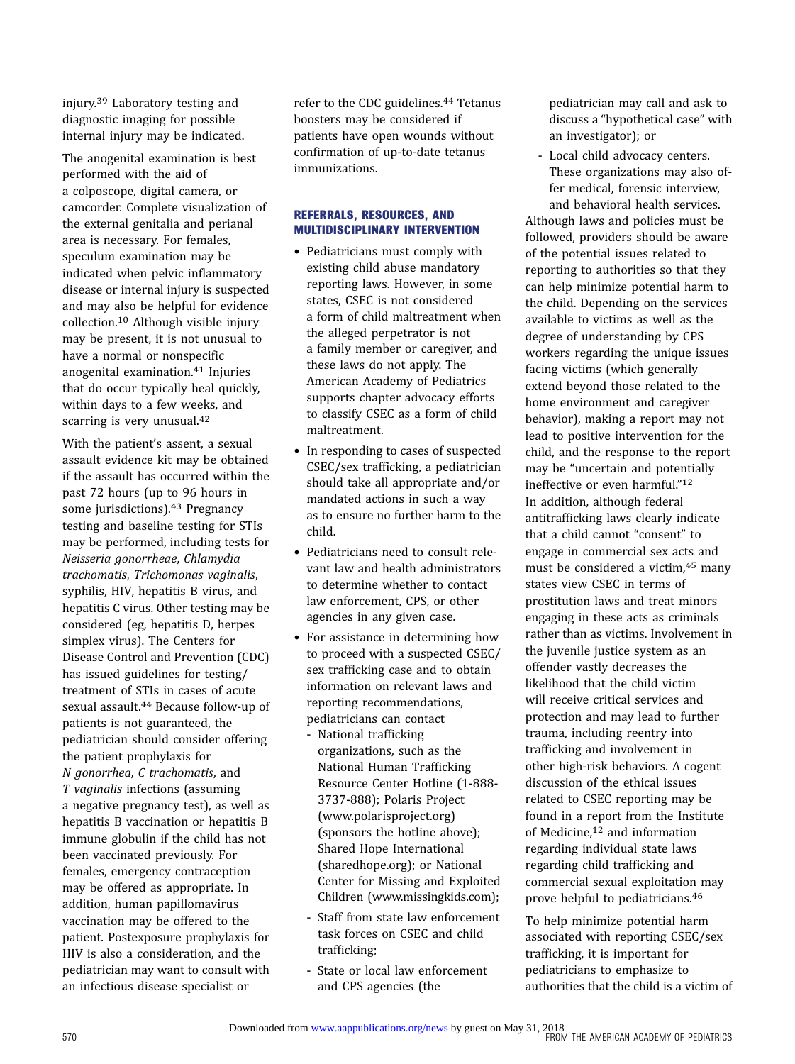injury.39 Laboratory testing and diagnostic imaging for possible internal injury may be indicated.

The anogenital examination is best performed with the aid of a colposcope, digital camera, or camcorder. Complete visualization of the external genitalia and perianal area is necessary. For females, speculum examination may be indicated when pelvic inflammatory disease or internal injury is suspected and may also be helpful for evidence collection.10 Although visible injury may be present, it is not unusual to have a normal or nonspecific anogenital examination.41 Injuries that do occur typically heal quickly, within days to a few weeks, and scarring is very unusual.<sup>42</sup>

With the patient's assent, a sexual assault evidence kit may be obtained if the assault has occurred within the past 72 hours (up to 96 hours in some jurisdictions).43 Pregnancy testing and baseline testing for STIs may be performed, including tests for Neisseria gonorrheae, Chlamydia trachomatis, Trichomonas vaginalis, syphilis, HIV, hepatitis B virus, and hepatitis C virus. Other testing may be considered (eg, hepatitis D, herpes simplex virus). The Centers for Disease Control and Prevention (CDC) has issued guidelines for testing/ treatment of STIs in cases of acute sexual assault.44 Because follow-up of patients is not guaranteed, the pediatrician should consider offering the patient prophylaxis for N gonorrhea, C trachomatis, and T vaginalis infections (assuming a negative pregnancy test), as well as hepatitis B vaccination or hepatitis B immune globulin if the child has not been vaccinated previously. For females, emergency contraception may be offered as appropriate. In addition, human papillomavirus vaccination may be offered to the patient. Postexposure prophylaxis for HIV is also a consideration, and the pediatrician may want to consult with an infectious disease specialist or

refer to the CDC guidelines.44 Tetanus boosters may be considered if patients have open wounds without confirmation of up-to-date tetanus immunizations.

#### REFERRALS, RESOURCES, AND MULTIDISCIPLINARY INTERVENTION

- Pediatricians must comply with existing child abuse mandatory reporting laws. However, in some states, CSEC is not considered a form of child maltreatment when the alleged perpetrator is not a family member or caregiver, and these laws do not apply. The American Academy of Pediatrics supports chapter advocacy efforts to classify CSEC as a form of child maltreatment.
- In responding to cases of suspected CSEC/sex trafficking, a pediatrician should take all appropriate and/or mandated actions in such a way as to ensure no further harm to the child.
- Pediatricians need to consult relevant law and health administrators to determine whether to contact law enforcement, CPS, or other agencies in any given case.
- For assistance in determining how to proceed with a suspected CSEC/ sex trafficking case and to obtain information on relevant laws and reporting recommendations, pediatricians can contact
	- National trafficking organizations, such as the National Human Trafficking Resource Center Hotline (1-888- 3737-888); Polaris Project [\(www.polarisproject.org\)](http://www.polarisproject.org) (sponsors the hotline above); Shared Hope International (sharedhope.org); or National Center for Missing and Exploited Children [\(www.missingkids.com](http://www.missingkids.com));
	- Staff from state law enforcement task forces on CSEC and child trafficking;
	- State or local law enforcement and CPS agencies (the

pediatrician may call and ask to discuss a "hypothetical case" with an investigator); or

- Local child advocacy centers. These organizations may also offer medical, forensic interview, and behavioral health services.

Although laws and policies must be followed, providers should be aware of the potential issues related to reporting to authorities so that they can help minimize potential harm to the child. Depending on the services available to victims as well as the degree of understanding by CPS workers regarding the unique issues facing victims (which generally extend beyond those related to the home environment and caregiver behavior), making a report may not lead to positive intervention for the child, and the response to the report may be "uncertain and potentially ineffective or even harmful."12 In addition, although federal antitrafficking laws clearly indicate that a child cannot "consent" to engage in commercial sex acts and must be considered a victim,45 many states view CSEC in terms of prostitution laws and treat minors engaging in these acts as criminals rather than as victims. Involvement in the juvenile justice system as an offender vastly decreases the likelihood that the child victim will receive critical services and protection and may lead to further trauma, including reentry into trafficking and involvement in other high-risk behaviors. A cogent discussion of the ethical issues related to CSEC reporting may be found in a report from the Institute of Medicine,12 and information regarding individual state laws regarding child trafficking and commercial sexual exploitation may prove helpful to pediatricians.46

To help minimize potential harm associated with reporting CSEC/sex trafficking, it is important for pediatricians to emphasize to authorities that the child is a victim of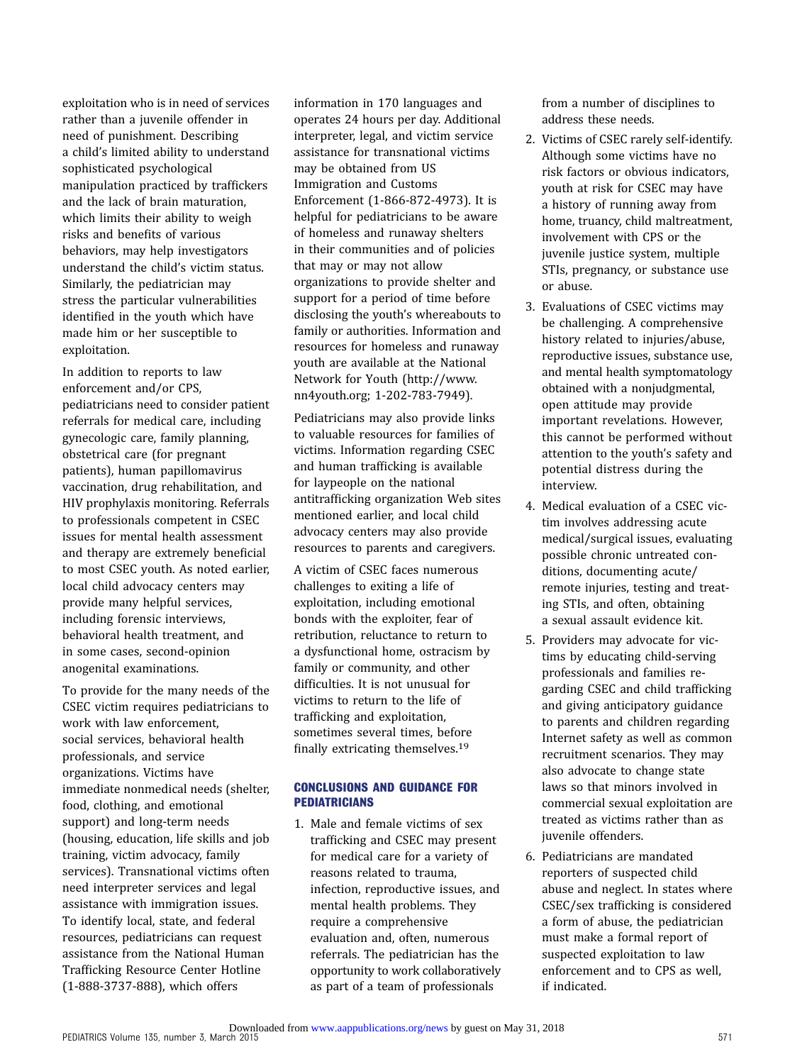exploitation who is in need of services rather than a juvenile offender in need of punishment. Describing a child's limited ability to understand sophisticated psychological manipulation practiced by traffickers and the lack of brain maturation, which limits their ability to weigh risks and benefits of various behaviors, may help investigators understand the child's victim status. Similarly, the pediatrician may stress the particular vulnerabilities identified in the youth which have made him or her susceptible to exploitation.

In addition to reports to law enforcement and/or CPS, pediatricians need to consider patient referrals for medical care, including gynecologic care, family planning, obstetrical care (for pregnant patients), human papillomavirus vaccination, drug rehabilitation, and HIV prophylaxis monitoring. Referrals to professionals competent in CSEC issues for mental health assessment and therapy are extremely beneficial to most CSEC youth. As noted earlier, local child advocacy centers may provide many helpful services, including forensic interviews, behavioral health treatment, and in some cases, second-opinion anogenital examinations.

To provide for the many needs of the CSEC victim requires pediatricians to work with law enforcement, social services, behavioral health professionals, and service organizations. Victims have immediate nonmedical needs (shelter, food, clothing, and emotional support) and long-term needs (housing, education, life skills and job training, victim advocacy, family services). Transnational victims often need interpreter services and legal assistance with immigration issues. To identify local, state, and federal resources, pediatricians can request assistance from the National Human Trafficking Resource Center Hotline (1-888-3737-888), which offers

information in 170 languages and operates 24 hours per day. Additional interpreter, legal, and victim service assistance for transnational victims may be obtained from US Immigration and Customs Enforcement (1-866-872-4973). It is helpful for pediatricians to be aware of homeless and runaway shelters in their communities and of policies that may or may not allow organizations to provide shelter and support for a period of time before disclosing the youth's whereabouts to family or authorities. Information and resources for homeless and runaway youth are available at the National Network for Youth ([http://www.](http://www.nn4youth.org) [nn4youth.org](http://www.nn4youth.org); 1-202-783-7949).

Pediatricians may also provide links to valuable resources for families of victims. Information regarding CSEC and human trafficking is available for laypeople on the national antitrafficking organization Web sites mentioned earlier, and local child advocacy centers may also provide resources to parents and caregivers.

A victim of CSEC faces numerous challenges to exiting a life of exploitation, including emotional bonds with the exploiter, fear of retribution, reluctance to return to a dysfunctional home, ostracism by family or community, and other difficulties. It is not unusual for victims to return to the life of trafficking and exploitation, sometimes several times, before finally extricating themselves.19

#### CONCLUSIONS AND GUIDANCE FOR PEDIATRICIANS

1. Male and female victims of sex trafficking and CSEC may present for medical care for a variety of reasons related to trauma, infection, reproductive issues, and mental health problems. They require a comprehensive evaluation and, often, numerous referrals. The pediatrician has the opportunity to work collaboratively as part of a team of professionals

from a number of disciplines to address these needs.

- 2. Victims of CSEC rarely self-identify. Although some victims have no risk factors or obvious indicators, youth at risk for CSEC may have a history of running away from home, truancy, child maltreatment, involvement with CPS or the juvenile justice system, multiple STIs, pregnancy, or substance use or abuse.
- 3. Evaluations of CSEC victims may be challenging. A comprehensive history related to injuries/abuse, reproductive issues, substance use, and mental health symptomatology obtained with a nonjudgmental, open attitude may provide important revelations. However, this cannot be performed without attention to the youth's safety and potential distress during the interview.
- 4. Medical evaluation of a CSEC victim involves addressing acute medical/surgical issues, evaluating possible chronic untreated conditions, documenting acute/ remote injuries, testing and treating STIs, and often, obtaining a sexual assault evidence kit.
- 5. Providers may advocate for victims by educating child-serving professionals and families regarding CSEC and child trafficking and giving anticipatory guidance to parents and children regarding Internet safety as well as common recruitment scenarios. They may also advocate to change state laws so that minors involved in commercial sexual exploitation are treated as victims rather than as juvenile offenders.
- 6. Pediatricians are mandated reporters of suspected child abuse and neglect. In states where CSEC/sex trafficking is considered a form of abuse, the pediatrician must make a formal report of suspected exploitation to law enforcement and to CPS as well, if indicated.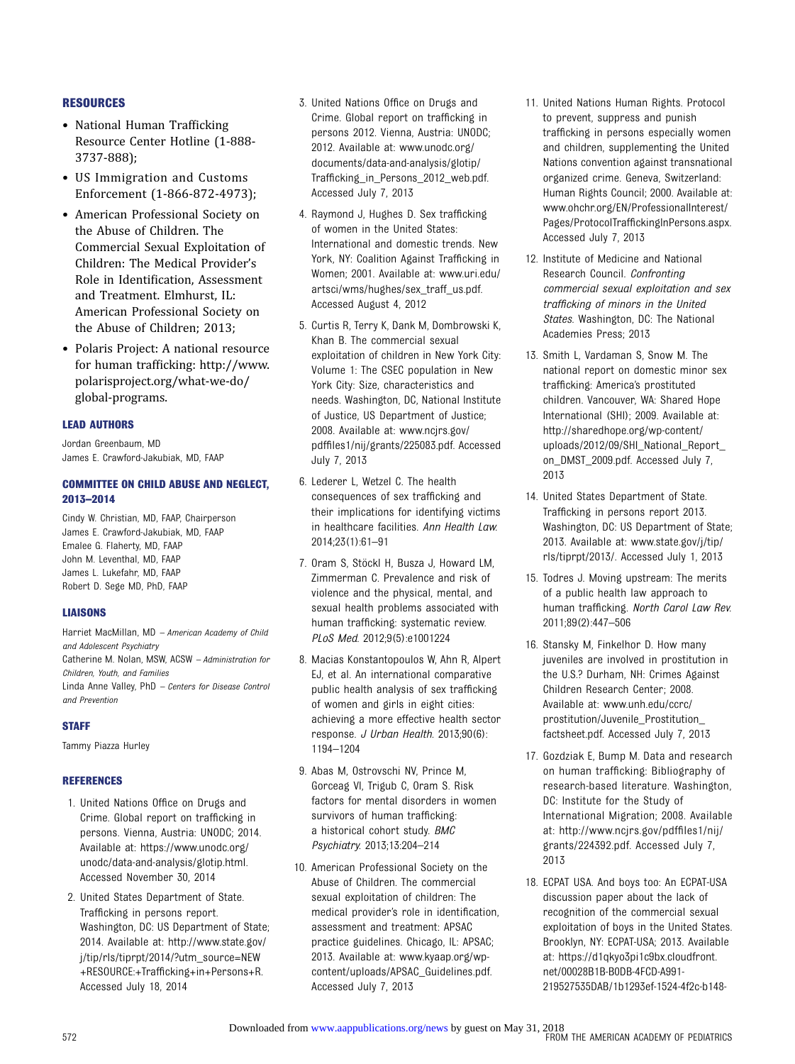#### **RESOURCES**

- National Human Trafficking Resource Center Hotline (1-888- 3737-888);
- US Immigration and Customs Enforcement (1-866-872-4973);
- American Professional Society on the Abuse of Children. The Commercial Sexual Exploitation of Children: The Medical Provider's Role in Identification, Assessment and Treatment. Elmhurst, IL: American Professional Society on the Abuse of Children; 2013;
- Polaris Project: A national resource for human trafficking: [http://www.](http://www.polarisproject.org/what-we-do/global-programs) [polarisproject.org/what-we-do/](http://www.polarisproject.org/what-we-do/global-programs) [global-programs](http://www.polarisproject.org/what-we-do/global-programs).

#### LEAD AUTHORS

Jordan Greenbaum, MD James E. Crawford-Jakubiak, MD, FAAP

#### COMMITTEE ON CHILD ABUSE AND NEGLECT, 2013–2014

Cindy W. Christian, MD, FAAP, Chairperson James E. Crawford-Jakubiak, MD, FAAP Emalee G. Flaherty, MD, FAAP John M. Leventhal, MD, FAAP James L. Lukefahr, MD, FAAP Robert D. Sege MD, PhD, FAAP

#### LIAISONS

Harriet MacMillan, MD – American Academy of Child and Adolescent Psychiatry Catherine M. Nolan, MSW, ACSW – Administration for Children, Youth, and Families Linda Anne Valley, PhD – Centers for Disease Control and Prevention

#### **STAFF**

Tammy Piazza Hurley

#### REFERENCES

- 1. United Nations Office on Drugs and Crime. Global report on trafficking in persons. Vienna, Austria: UNODC; 2014. Available at: [https://www.unodc.org/](https://www.unodc.org/unodc/data-and-analysis/glotip.html) [unodc/data-and-analysis/glotip.html.](https://www.unodc.org/unodc/data-and-analysis/glotip.html) Accessed November 30, 2014
- 2. United States Department of State. Trafficking in persons report. Washington, DC: US Department of State; 2014. Available at: [http://www.state.gov/](http://www.state.gov/j/tip/rls/tiprpt/2014/?utm_source=NEW+RESOURCE:+Trafficking+in+Persons+R) [j/tip/rls/tiprpt/2014/?utm\\_source=NEW](http://www.state.gov/j/tip/rls/tiprpt/2014/?utm_source=NEW+RESOURCE:+Trafficking+in+Persons+R) +RESOURCE:+Traffi[cking+in+Persons+R](http://www.state.gov/j/tip/rls/tiprpt/2014/?utm_source=NEW+RESOURCE:+Trafficking+in+Persons+R). Accessed July 18, 2014
- 3. United Nations Office on Drugs and Crime. Global report on trafficking in persons 2012. Vienna, Austria: UNODC; 2012. Available at: [www.unodc.org/](http://www.unodc.org/documents/data-and-analysis/glotip/Trafficking_in_Persons_2012_web.pdf) [documents/data-and-analysis/glotip/](http://www.unodc.org/documents/data-and-analysis/glotip/Trafficking_in_Persons_2012_web.pdf) Traffi[cking\\_in\\_Persons\\_2012\\_web.pdf](http://www.unodc.org/documents/data-and-analysis/glotip/Trafficking_in_Persons_2012_web.pdf). Accessed July 7, 2013
- 4. Raymond J, Hughes D. Sex trafficking of women in the United States: International and domestic trends. New York, NY: Coalition Against Trafficking in Women; 2001. Available at: [www.uri.edu/](http://www.uri.edu/artsci/wms/hughes/sex_traff_us.pdf) [artsci/wms/hughes/sex\\_traff\\_us.pdf.](http://www.uri.edu/artsci/wms/hughes/sex_traff_us.pdf) Accessed August 4, 2012
- 5. Curtis R, Terry K, Dank M, Dombrowski K, Khan B. The commercial sexual exploitation of children in New York City: Volume 1: The CSEC population in New York City: Size, characteristics and needs. Washington, DC, National Institute of Justice, US Department of Justice; 2008. Available at: [www.ncjrs.gov/](http://www.ncjrs.gov/pdffiles1/nij/grants/225083.pdf) pdffi[les1/nij/grants/225083.pdf](http://www.ncjrs.gov/pdffiles1/nij/grants/225083.pdf). Accessed July 7, 2013
- 6. Lederer L, Wetzel C. The health consequences of sex trafficking and their implications for identifying victims in healthcare facilities. Ann Health Law. 2014;23(1):61–91
- 7. Oram S, Stöckl H, Busza J, Howard LM, Zimmerman C. Prevalence and risk of violence and the physical, mental, and sexual health problems associated with human trafficking: systematic review. PLoS Med. 2012;9(5):e1001224
- 8. Macias Konstantopoulos W, Ahn R, Alpert EJ, et al. An international comparative public health analysis of sex trafficking of women and girls in eight cities: achieving a more effective health sector response. J Urban Health. 2013;90(6): 1194–1204
- 9. Abas M, Ostrovschi NV, Prince M, Gorceag VI, Trigub C, Oram S. Risk factors for mental disorders in women survivors of human trafficking: a historical cohort study. BMC Psychiatry. 2013;13:204–214
- 10. American Professional Society on the Abuse of Children. The commercial sexual exploitation of children: The medical provider's role in identification, assessment and treatment: APSAC practice guidelines. Chicago, IL: APSAC; 2013. Available at: www.kyaap.org/wpcontent/uploads/APSAC\_Guidelines.pdf. Accessed July 7, 2013
- 11. United Nations Human Rights. Protocol to prevent, suppress and punish trafficking in persons especially women and children, supplementing the United Nations convention against transnational organized crime. Geneva, Switzerland: Human Rights Council; 2000. Available at: [www.ohchr.org/EN/ProfessionalInterest/](http://www.ohchr.org/EN/ProfessionalInterest/Pages/ProtocolTraffickingInPersons.aspx.AccessedJuly7,2013) Pages/ProtocolTraffi[ckingInPersons.aspx.](http://www.ohchr.org/EN/ProfessionalInterest/Pages/ProtocolTraffickingInPersons.aspx.AccessedJuly7,2013) [Accessed July 7, 2013](http://www.ohchr.org/EN/ProfessionalInterest/Pages/ProtocolTraffickingInPersons.aspx.AccessedJuly7,2013)
- 12. Institute of Medicine and National Research Council. Confronting commercial sexual exploitation and sex trafficking of minors in the United States. Washington, DC: The National Academies Press; 2013
- 13. Smith L, Vardaman S, Snow M. The national report on domestic minor sex trafficking: America's prostituted children. Vancouver, WA: Shared Hope International (SHI); 2009. Available at: [http://sharedhope.org/wp-content/](http://sharedhope.org/wp-content/uploads/2012/09/SHI_National_Report_on_DMST_2009.pdf) [uploads/2012/09/SHI\\_National\\_Report\\_](http://sharedhope.org/wp-content/uploads/2012/09/SHI_National_Report_on_DMST_2009.pdf) [on\\_DMST\\_2009.pdf.](http://sharedhope.org/wp-content/uploads/2012/09/SHI_National_Report_on_DMST_2009.pdf) Accessed July 7, 2013
- 14. United States Department of State. Trafficking in persons report 2013. Washington, DC: US Department of State; 2013. Available at: [www.state.gov/j/tip/](http://www.state.gov/j/tip/rls/tiprpt/2013/) [rls/tiprpt/2013/](http://www.state.gov/j/tip/rls/tiprpt/2013/). Accessed July 1, 2013
- 15. Todres J. Moving upstream: The merits of a public health law approach to human trafficking. North Carol Law Rev. 2011;89(2):447–506
- 16. Stansky M, Finkelhor D. How many juveniles are involved in prostitution in the U.S.? Durham, NH: Crimes Against Children Research Center; 2008. Available at: [www.unh.edu/ccrc/](http://www.unh.edu/ccrc/prostitution/Juvenile_Prostitution_factsheet.pdf) [prostitution/Juvenile\\_Prostitution\\_](http://www.unh.edu/ccrc/prostitution/Juvenile_Prostitution_factsheet.pdf) [factsheet.pdf](http://www.unh.edu/ccrc/prostitution/Juvenile_Prostitution_factsheet.pdf). Accessed July 7, 2013
- 17. Gozdziak E, Bump M. Data and research on human trafficking: Bibliography of research-based literature. Washington, DC: Institute for the Study of International Migration; 2008. Available at: http://www.ncjrs.gov/pdffiles1/nij/ grants/224392.pdf. Accessed July 7, 2013
- 18. ECPAT USA. And boys too: An ECPAT-USA discussion paper about the lack of recognition of the commercial sexual exploitation of boys in the United States. Brooklyn, NY: ECPAT-USA; 2013. Available at: [https://d1qkyo3pi1c9bx.cloudfront.](https://d1qkyo3pi1c9bx.cloudfront.net/00028B1B-B0DB-4FCD-A991-219527535DAB/1b1293ef-1524-4f2c-b148-91db11379d11.pdf) [net/00028B1B-B0DB-4FCD-A991-](https://d1qkyo3pi1c9bx.cloudfront.net/00028B1B-B0DB-4FCD-A991-219527535DAB/1b1293ef-1524-4f2c-b148-91db11379d11.pdf) [219527535DAB/1b1293ef-1524-4f2c-b148-](https://d1qkyo3pi1c9bx.cloudfront.net/00028B1B-B0DB-4FCD-A991-219527535DAB/1b1293ef-1524-4f2c-b148-91db11379d11.pdf)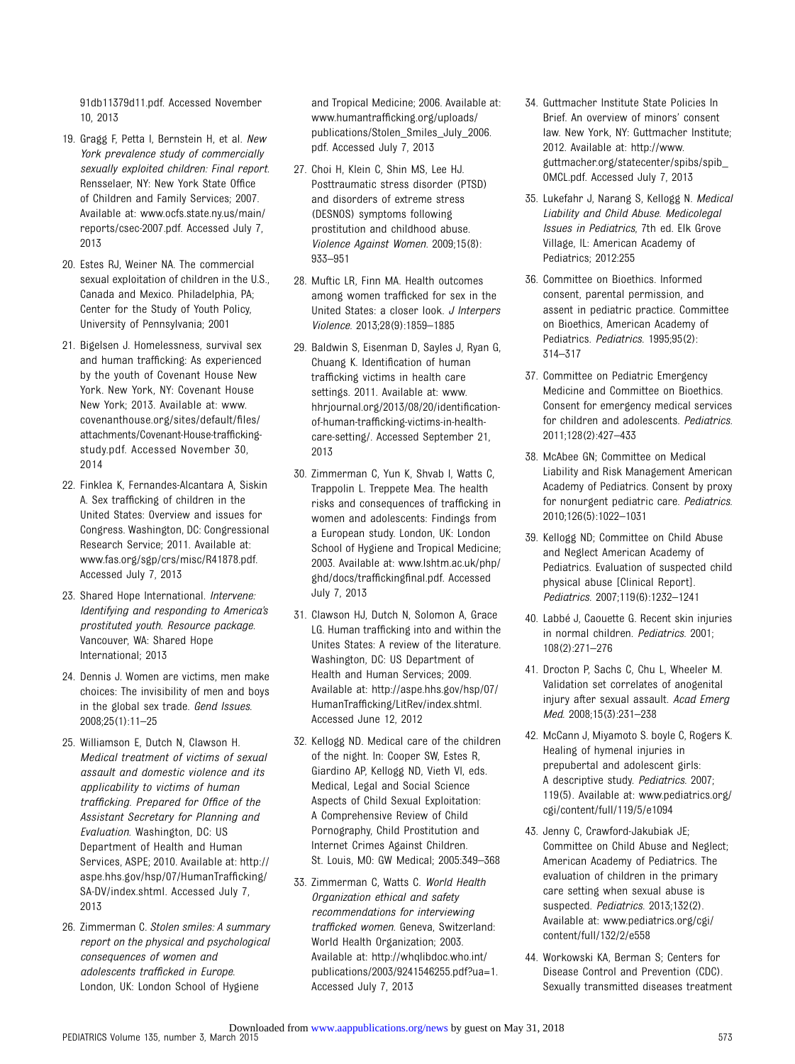[91db11379d11.pdf.](https://d1qkyo3pi1c9bx.cloudfront.net/00028B1B-B0DB-4FCD-A991-219527535DAB/1b1293ef-1524-4f2c-b148-91db11379d11.pdf) Accessed November 10, 2013

- 19. Gragg F, Petta I, Bernstein H, et al. New York prevalence study of commercially sexually exploited children: Final report. Rensselaer, NY: New York State Office of Children and Family Services; 2007. Available at: www.ocfs.state.ny.us/main/ reports/csec-2007.pdf. Accessed July 7, 2013
- 20. Estes RJ, Weiner NA. The commercial sexual exploitation of children in the U.S., Canada and Mexico. Philadelphia, PA; Center for the Study of Youth Policy, University of Pennsylvania; 2001
- 21. Bigelsen J. Homelessness, survival sex and human trafficking: As experienced by the youth of Covenant House New York. New York, NY: Covenant House New York; 2013. Available at: [www.](http://www.covenanthouse.org/sites/default/files/attachments/Covenant-House-trafficking-study.pdf) [covenanthouse.org/sites/default/](http://www.covenanthouse.org/sites/default/files/attachments/Covenant-House-trafficking-study.pdf)files/ [attachments/Covenant-House-traf](http://www.covenanthouse.org/sites/default/files/attachments/Covenant-House-trafficking-study.pdf)ficking[study.pdf.](http://www.covenanthouse.org/sites/default/files/attachments/Covenant-House-trafficking-study.pdf) Accessed November 30, 2014
- 22. Finklea K, Fernandes-Alcantara A, Siskin A. Sex trafficking of children in the United States: Overview and issues for Congress. Washington, DC: Congressional Research Service; 2011. Available at: [www.fas.org/sgp/crs/misc/R41878.pdf.](http://www.fas.org/sgp/crs/misc/R41878.pdf) Accessed July 7, 2013
- 23. Shared Hope International. Intervene: Identifying and responding to America's prostituted youth. Resource package. Vancouver, WA: Shared Hope International; 2013
- 24. Dennis J. Women are victims, men make choices: The invisibility of men and boys in the global sex trade. Gend Issues. 2008;25(1):11–25
- 25. Williamson E, Dutch N, Clawson H. Medical treatment of victims of sexual assault and domestic violence and its applicability to victims of human trafficking. Prepared for Office of the Assistant Secretary for Planning and Evaluation. Washington, DC: US Department of Health and Human Services, ASPE; 2010. Available at: http:// aspe.hhs.gov/hsp/07/HumanTrafficking/ SA-DV/index.shtml. Accessed July 7, 2013
- 26. Zimmerman C. Stolen smiles: A summary report on the physical and psychological consequences of women and adolescents trafficked in Europe. London, UK: London School of Hygiene

and Tropical Medicine; 2006. Available at: www.humantrafficking.org/uploads/ publications/Stolen\_Smiles\_July\_2006. pdf. Accessed July 7, 2013

- 27. Choi H, Klein C, Shin MS, Lee HJ. Posttraumatic stress disorder (PTSD) and disorders of extreme stress (DESNOS) symptoms following prostitution and childhood abuse. Violence Against Women. 2009;15(8): 933–951
- 28. Muftic LR, Finn MA. Health outcomes among women trafficked for sex in the United States: a closer look. J Interpers Violence. 2013;28(9):1859–1885
- 29. Baldwin S, Eisenman D, Sayles J, Ryan G, Chuang K. Identification of human trafficking victims in health care settings. 2011. Available at: [www.](http://www.hhrjournal.org/2013/08/20/identification-of-human-trafficking-victims-in-health-care-setting/) [hhrjournal.org/2013/08/20/identi](http://www.hhrjournal.org/2013/08/20/identification-of-human-trafficking-victims-in-health-care-setting/)ficationof-human-traffi[cking-victims-in-health](http://www.hhrjournal.org/2013/08/20/identification-of-human-trafficking-victims-in-health-care-setting/)[care-setting/.](http://www.hhrjournal.org/2013/08/20/identification-of-human-trafficking-victims-in-health-care-setting/) Accessed September 21, 2013
- 30. Zimmerman C, Yun K, Shvab I, Watts C, Trappolin L. Treppete Mea. The health risks and consequences of trafficking in women and adolescents: Findings from a European study. London, UK: London School of Hygiene and Tropical Medicine; 2003. Available at: www.lshtm.ac.uk/php/ ghd/docs/traffickingfinal.pdf. Accessed July 7, 2013
- 31. Clawson HJ, Dutch N, Solomon A, Grace LG. Human trafficking into and within the Unites States: A review of the literature. Washington, DC: US Department of Health and Human Services; 2009. Available at: http://aspe.hhs.gov/hsp/07/ HumanTrafficking/LitRev/index.shtml. Accessed June 12, 2012
- 32. Kellogg ND. Medical care of the children of the night. In: Cooper SW, Estes R, Giardino AP, Kellogg ND, Vieth VI, eds. Medical, Legal and Social Science Aspects of Child Sexual Exploitation: A Comprehensive Review of Child Pornography, Child Prostitution and Internet Crimes Against Children. St. Louis, MO: GW Medical; 2005:349–368
- 33. Zimmerman C, Watts C. World Health Organization ethical and safety recommendations for interviewing trafficked women. Geneva, Switzerland: World Health Organization; 2003. Available at: http://whqlibdoc.who.int/ publications/2003/9241546255.pdf?ua=1. Accessed July 7, 2013
- 34. Guttmacher Institute State Policies In Brief. An overview of minors' consent law. New York, NY: Guttmacher Institute; 2012. Available at: http://www. guttmacher.org/statecenter/spibs/spib\_ OMCL.pdf. Accessed July 7, 2013
- 35. Lukefahr J, Narang S, Kellogg N. Medical Liability and Child Abuse. Medicolegal Issues in Pediatrics, 7th ed. Elk Grove Village, IL: American Academy of Pediatrics; 2012:255
- 36. Committee on Bioethics. Informed consent, parental permission, and assent in pediatric practice. Committee on Bioethics, American Academy of Pediatrics. Pediatrics. 1995;95(2): 314–317
- 37. Committee on Pediatric Emergency Medicine and Committee on Bioethics. Consent for emergency medical services for children and adolescents. Pediatrics. 2011;128(2):427–433
- 38. McAbee GN; Committee on Medical Liability and Risk Management American Academy of Pediatrics. Consent by proxy for nonurgent pediatric care. Pediatrics. 2010;126(5):1022–1031
- 39. Kellogg ND; Committee on Child Abuse and Neglect American Academy of Pediatrics. Evaluation of suspected child physical abuse [Clinical Report]. Pediatrics. 2007;119(6):1232–1241
- 40. Labbé J, Caouette G. Recent skin injuries in normal children. Pediatrics. 2001; 108(2):271–276
- 41. Drocton P, Sachs C, Chu L, Wheeler M. Validation set correlates of anogenital injury after sexual assault. Acad Emerg Med. 2008;15(3):231–238
- 42. McCann J, Miyamoto S. boyle C, Rogers K. Healing of hymenal injuries in prepubertal and adolescent girls: A descriptive study. Pediatrics. 2007; 119(5). Available at: [www.pediatrics.org/](http://www.pediatrics.org/cgi/content/full/119/5/e1094) [cgi/content/full/119/5/e1094](http://www.pediatrics.org/cgi/content/full/119/5/e1094)
- 43. Jenny C, Crawford-Jakubiak JE; Committee on Child Abuse and Neglect; American Academy of Pediatrics. The evaluation of children in the primary care setting when sexual abuse is suspected. Pediatrics. 2013;132(2). Available at: [www.pediatrics.org/cgi/](http://www.pediatrics.org/cgi/content/full/132/2/e558) [content/full/132/2/e558](http://www.pediatrics.org/cgi/content/full/132/2/e558)
- 44. Workowski KA, Berman S; Centers for Disease Control and Prevention (CDC). Sexually transmitted diseases treatment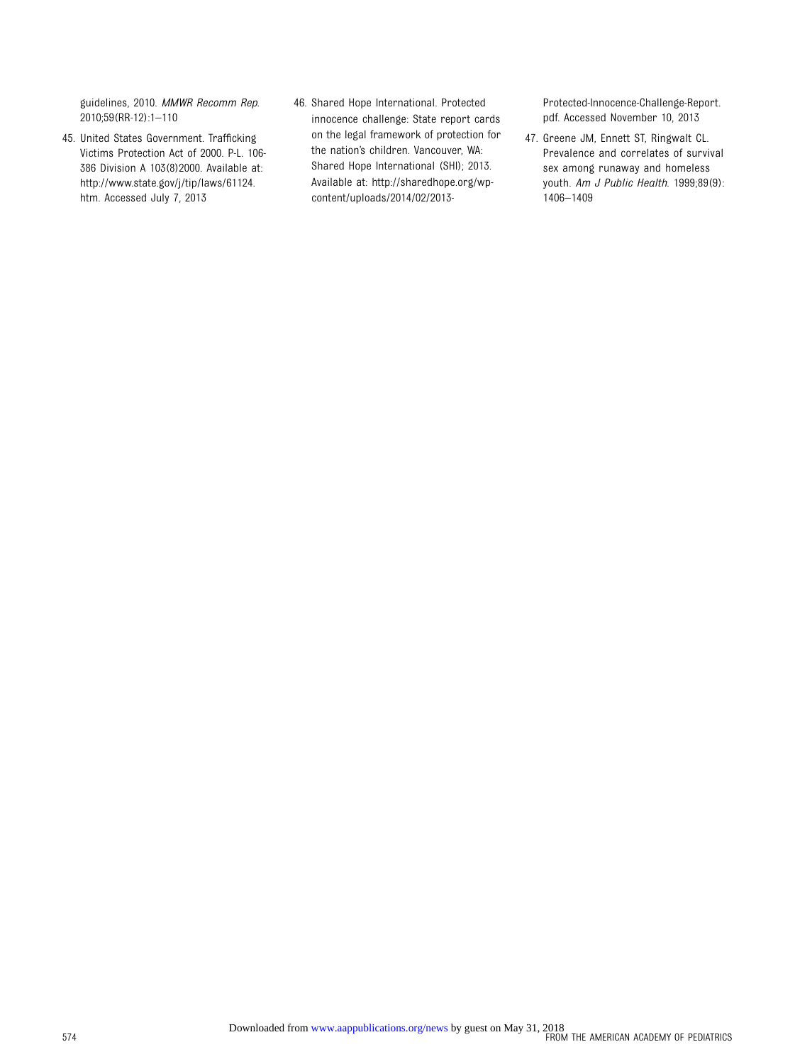guidelines, 2010. MMWR Recomm Rep. 2010;59(RR-12):1–110

- 45. United States Government. Trafficking Victims Protection Act of 2000. P-L. 106- 386 Division A 103(8)2000. Available at: http://www.state.gov/j/tip/laws/61124. htm. Accessed July 7, 2013
- 46. Shared Hope International. Protected innocence challenge: State report cards on the legal framework of protection for the nation's children. Vancouver, WA: Shared Hope International (SHI); 2013. Available at: [http://sharedhope.org/wp](http://sharedhope.org/wp-content/uploads/2014/02/2013-Protected-Innocence-Challenge-Report.pdf.)[content/uploads/2014/02/2013-](http://sharedhope.org/wp-content/uploads/2014/02/2013-Protected-Innocence-Challenge-Report.pdf.)

[Protected-Innocence-Challenge-Report.](http://sharedhope.org/wp-content/uploads/2014/02/2013-Protected-Innocence-Challenge-Report.pdf.) [pdf.](http://sharedhope.org/wp-content/uploads/2014/02/2013-Protected-Innocence-Challenge-Report.pdf.) Accessed November 10, 2013

47. Greene JM, Ennett ST, Ringwalt CL. Prevalence and correlates of survival sex among runaway and homeless youth. Am J Public Health. 1999;89(9): 1406–1409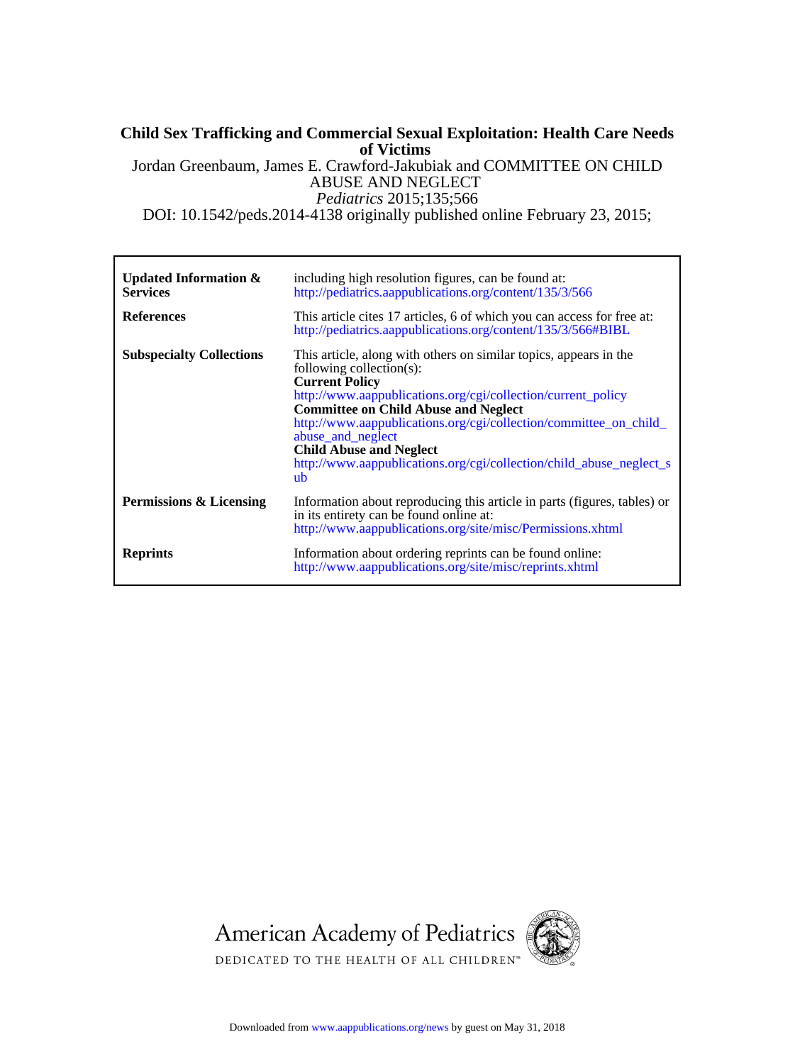#### *Pediatrics* 2015;135;566 ABUSE AND NEGLECT Jordan Greenbaum, James E. Crawford-Jakubiak and COMMITTEE ON CHILD **of Victims Child Sex Trafficking and Commercial Sexual Exploitation: Health Care Needs**

DOI: 10.1542/peds.2014-4138 originally published online February 23, 2015;

| Updated Information $\&$<br><b>Services</b><br><b>References</b> | including high resolution figures, can be found at:<br>http://pediatrics.aappublications.org/content/135/3/566<br>This article cites 17 articles, 6 of which you can access for free at:<br>http://pediatrics.aappublications.org/content/135/3/566#BIBL                                                                                                                                                                                       |
|------------------------------------------------------------------|------------------------------------------------------------------------------------------------------------------------------------------------------------------------------------------------------------------------------------------------------------------------------------------------------------------------------------------------------------------------------------------------------------------------------------------------|
| <b>Subspecialty Collections</b>                                  | This article, along with others on similar topics, appears in the<br>following collection(s):<br><b>Current Policy</b><br>http://www.aappublications.org/cgi/collection/current_policy<br><b>Committee on Child Abuse and Neglect</b><br>http://www.aappublications.org/cgi/collection/committee_on_child_<br>abuse_and_neglect<br><b>Child Abuse and Neglect</b><br>http://www.aappublications.org/cgi/collection/child_abuse_neglect_s<br>ub |
| Permissions & Licensing                                          | Information about reproducing this article in parts (figures, tables) or<br>in its entirety can be found online at:<br>http://www.aappublications.org/site/misc/Permissions.xhtml                                                                                                                                                                                                                                                              |
| <b>Reprints</b>                                                  | Information about ordering reprints can be found online:<br>http://www.aappublications.org/site/misc/reprints.xhtml                                                                                                                                                                                                                                                                                                                            |